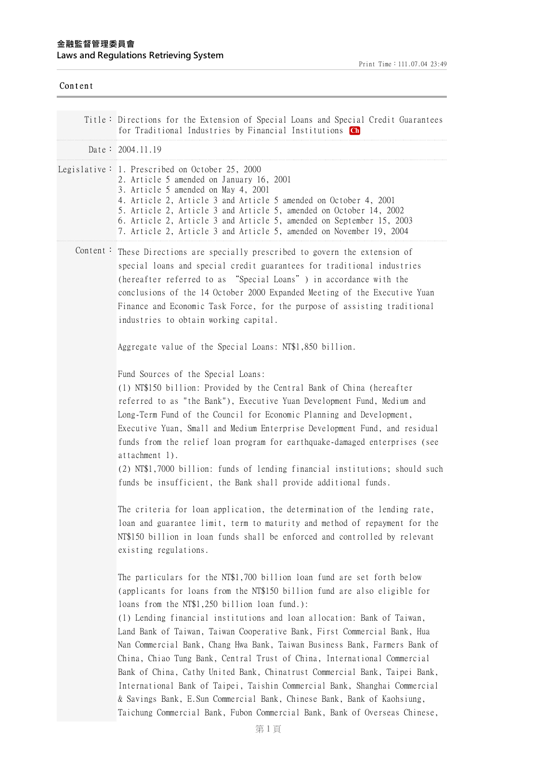| Content  |                                                                                                                                                                                                                                                                                                                                                                                                                                                                                                                                                                                                                                                                                                                                                                                                                                             |
|----------|---------------------------------------------------------------------------------------------------------------------------------------------------------------------------------------------------------------------------------------------------------------------------------------------------------------------------------------------------------------------------------------------------------------------------------------------------------------------------------------------------------------------------------------------------------------------------------------------------------------------------------------------------------------------------------------------------------------------------------------------------------------------------------------------------------------------------------------------|
|          | Title: Directions for the Extension of Special Loans and Special Credit Guarantees<br>for Traditional Industries by Financial Institutions Ch                                                                                                                                                                                                                                                                                                                                                                                                                                                                                                                                                                                                                                                                                               |
|          | Date: $2004.11.19$                                                                                                                                                                                                                                                                                                                                                                                                                                                                                                                                                                                                                                                                                                                                                                                                                          |
|          | Legislative: 1. Prescribed on October 25, 2000<br>2. Article 5 amended on January 16, 2001<br>3. Article 5 amended on May 4, 2001<br>4. Article 2, Article 3 and Article 5 amended on October 4, 2001<br>5. Article 2, Article 3 and Article 5, amended on October 14, 2002<br>6. Article 2, Article 3 and Article 5, amended on September 15, 2003<br>7. Article 2, Article 3 and Article 5, amended on November 19, 2004                                                                                                                                                                                                                                                                                                                                                                                                                  |
| Content: | These Directions are specially prescribed to govern the extension of<br>special loans and special credit guarantees for traditional industries<br>(hereafter referred to as "Special Loans") in accordance with the<br>conclusions of the 14 October 2000 Expanded Meeting of the Executive Yuan<br>Finance and Economic Task Force, for the purpose of assisting traditional<br>industries to obtain working capital.                                                                                                                                                                                                                                                                                                                                                                                                                      |
|          | Aggregate value of the Special Loans: NT\$1,850 billion.                                                                                                                                                                                                                                                                                                                                                                                                                                                                                                                                                                                                                                                                                                                                                                                    |
|          | Fund Sources of the Special Loans:<br>(1) NT\$150 billion: Provided by the Central Bank of China (hereafter<br>referred to as "the Bank"), Executive Yuan Development Fund, Medium and<br>Long-Term Fund of the Council for Economic Planning and Development,<br>Executive Yuan, Small and Medium Enterprise Development Fund, and residual<br>funds from the relief loan program for earthquake-damaged enterprises (see<br>attachment 1).<br>(2) NT\$1,7000 billion: funds of lending financial institutions; should such<br>funds be insufficient, the Bank shall provide additional funds.                                                                                                                                                                                                                                             |
|          | The criteria for loan application, the determination of the lending rate,<br>loan and guarantee limit, term to maturity and method of repayment for the<br>NT\$150 billion in loan funds shall be enforced and controlled by relevant<br>existing regulations.                                                                                                                                                                                                                                                                                                                                                                                                                                                                                                                                                                              |
|          | The particulars for the NT\$1,700 billion loan fund are set forth below<br>(applicants for loans from the NT\$150 billion fund are also eligible for<br>loans from the NT\$1,250 billion loan fund.):<br>(1) Lending financial institutions and loan allocation: Bank of Taiwan,<br>Land Bank of Taiwan, Taiwan Cooperative Bank, First Commercial Bank, Hua<br>Nan Commercial Bank, Chang Hwa Bank, Taiwan Business Bank, Farmers Bank of<br>China, Chiao Tung Bank, Central Trust of China, International Commercial<br>Bank of China, Cathy United Bank, Chinatrust Commercial Bank, Taipei Bank,<br>International Bank of Taipei, Taishin Commercial Bank, Shanghai Commercial<br>& Savings Bank, E.Sun Commercial Bank, Chinese Bank, Bank of Kaohsiung,<br>Taichung Commercial Bank, Fubon Commercial Bank, Bank of Overseas Chinese, |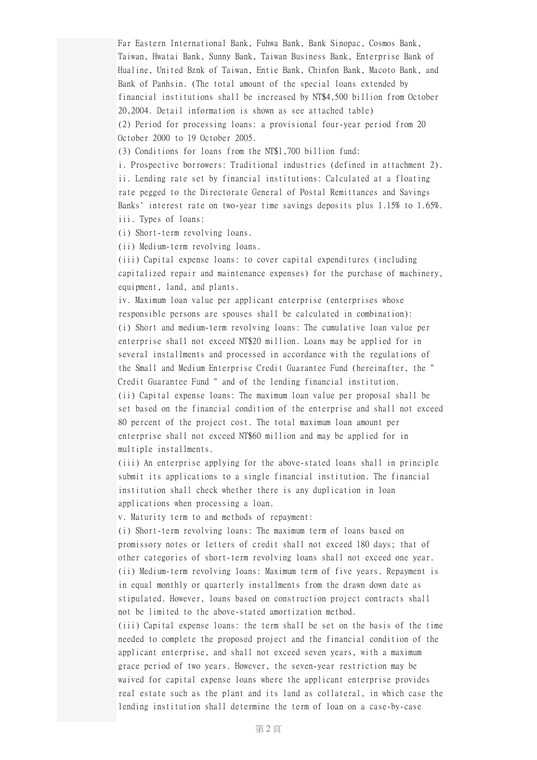Far Eastern International Bank, Fuhwa Bank, Bank Sinopac, Cosmos Bank, Taiwan, Hwatai Bank, Sunny Bank, Taiwan Business Bank, Enterprise Bank of Hualine, United Bznk of Taiwan, Entie Bank, Chinfon Bank, Macoto Bank, and Bank of Panhsin. (The total amount of the special loans extended by financial institutions shall be increased by NT\$4,500 billion from October 20,2004. Detail information is shown as see attached table) (2) Period for processing loans: a provisional four-year period from 20 October 2000 to 19 October 2005.

(3) Conditions for loans from the NT\$1,700 billion fund:

i. Prospective borrowers: Traditional industries (defined in attachment 2). ii. Lending rate set by financial institutions: Calculated at a floating rate pegged to the Directorate General of Postal Remittances and Savings Banks' interest rate on two-year time savings deposits plus 1.15% to 1.65%. iii. Types of loans:

(i) Short-term revolving loans.

(ii) Medium-term revolving loans.

(iii) Capital expense loans: to cover capital expenditures (including capitalized repair and maintenance expenses) for the purchase of machinery, equipment, land, and plants.

iv. Maximum loan value per applicant enterprise (enterprises whose responsible persons are spouses shall be calculated in combination): (i) Short and medium-term revolving loans: The cumulative loan value per enterprise shall not exceed NT\$20 million. Loans may be applied for in several installments and processed in accordance with the regulations of the Small and Medium Enterprise Credit Guarantee Fund (hereinafter, the " Credit Guarantee Fund " and of the lending financial institution.

(ii) Capital expense loans: The maximum loan value per proposal shall be set based on the financial condition of the enterprise and shall not exceed 80 percent of the project cost. The total maximum loan amount per enterprise shall not exceed NT\$60 million and may be applied for in multiple installments.

(iii) An enterprise applying for the above-stated loans shall in principle submit its applications to a single financial institution. The financial institution shall check whether there is any duplication in loan applications when processing a loan.

v. Maturity term to and methods of repayment:

(i) Short-term revolving loans: The maximum term of loans based on promissory notes or letters of credit shall not exceed 180 days; that of other categories of short-term revolving loans shall not exceed one year. (ii) Medium-term revolving loans: Maximum term of five years. Repayment is in equal monthly or quarterly installments from the drawn down date as stipulated. However, loans based on construction project contracts shall not be limited to the above-stated amortization method.

(iii) Capital expense loans: the term shall be set on the basis of the time needed to complete the proposed project and the financial condition of the applicant enterprise, and shall not exceed seven years, with a maximum grace period of two years. However, the seven-year restriction may be waived for capital expense loans where the applicant enterprise provides real estate such as the plant and its land as collateral, in which case the lending institution shall determine the term of loan on a case-by-case